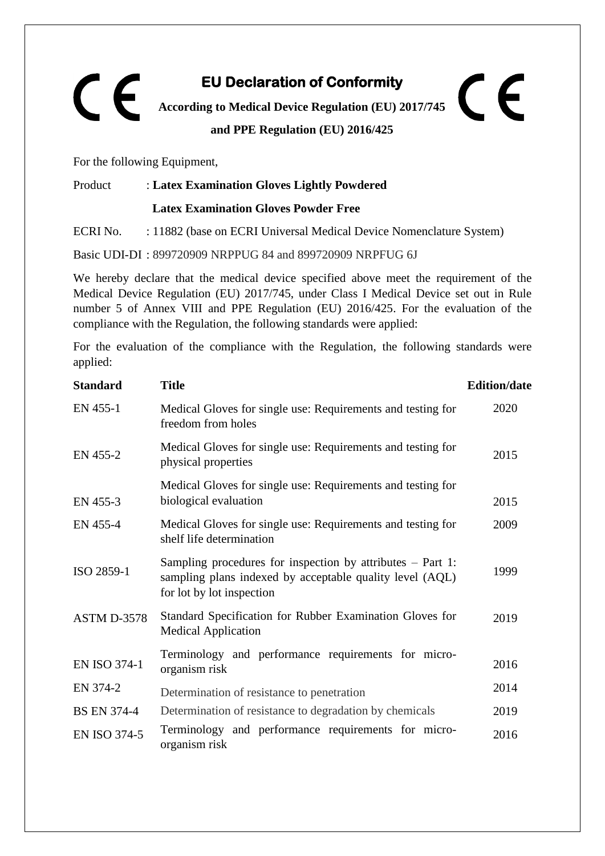## **EU Declaration of Conformity**  CE  $\epsilon$ **According to Medical Device Regulation (EU) 2017/745 and PPE Regulation (EU) 2016/425**

For the following Equipment,

## Product : **Latex Examination Gloves Lightly Powdered**

## **Latex Examination Gloves Powder Free**

ECRI No. : 11882 (base on ECRI Universal Medical Device Nomenclature System)

Basic UDI-DI : 899720909 NRPPUG 84 and 899720909 NRPFUG 6J

We hereby declare that the medical device specified above meet the requirement of the Medical Device Regulation (EU) 2017/745, under Class I Medical Device set out in Rule number 5 of Annex VIII and PPE Regulation (EU) 2016/425. For the evaluation of the compliance with the Regulation, the following standards were applied:

For the evaluation of the compliance with the Regulation, the following standards were applied:

| <b>Standard</b>     | <b>Title</b>                                                                                                                                          | <b>Edition/date</b> |
|---------------------|-------------------------------------------------------------------------------------------------------------------------------------------------------|---------------------|
| EN 455-1            | Medical Gloves for single use: Requirements and testing for<br>freedom from holes                                                                     | 2020                |
| EN 455-2            | Medical Gloves for single use: Requirements and testing for<br>physical properties                                                                    | 2015                |
| EN 455-3            | Medical Gloves for single use: Requirements and testing for<br>biological evaluation                                                                  | 2015                |
| EN 455-4            | Medical Gloves for single use: Requirements and testing for<br>shelf life determination                                                               | 2009                |
| ISO 2859-1          | Sampling procedures for inspection by attributes $-$ Part 1:<br>sampling plans indexed by acceptable quality level (AQL)<br>for lot by lot inspection | 1999                |
| ASTM D-3578         | Standard Specification for Rubber Examination Gloves for<br><b>Medical Application</b>                                                                | 2019                |
| <b>EN ISO 374-1</b> | Terminology and performance requirements for micro-<br>organism risk                                                                                  | 2016                |
| EN 374-2            | Determination of resistance to penetration                                                                                                            | 2014                |
| <b>BS EN 374-4</b>  | Determination of resistance to degradation by chemicals                                                                                               | 2019                |
| <b>EN ISO 374-5</b> | Terminology and performance requirements for micro-<br>organism risk                                                                                  | 2016                |